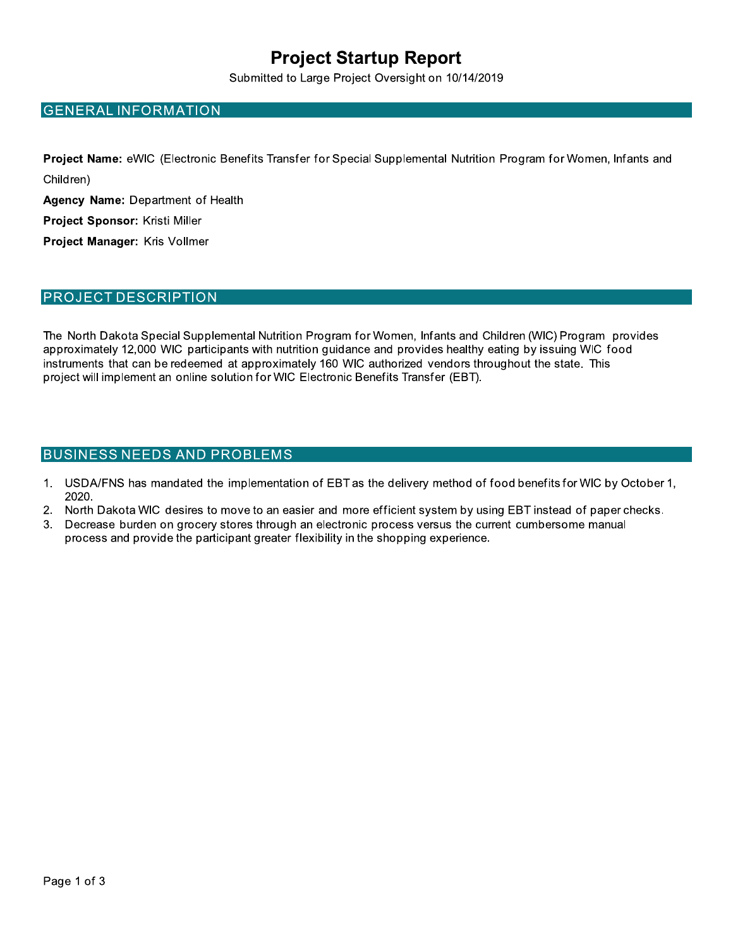## **Project Startup Report**

Submitted to Large Project Oversight on 10/14/2019

#### **GENERAL INFORMATION**

Project Name: eWIC (Electronic Benefits Transfer for Special Supplemental Nutrition Program for Women, Infants and Children)

Agency Name: Department of Health

Project Sponsor: Kristi Miller

Project Manager: Kris Vollmer

#### **PROJECT DESCRIPTION**

The North Dakota Special Supplemental Nutrition Program for Women, Infants and Children (WIC) Program provides approximately 12,000 WIC participants with nutrition guidance and provides healthy eating by issuing WIC food instruments that can be redeemed at approximately 160 WIC authorized vendors throughout the state. This project will implement an online solution for WIC Electronic Benefits Transfer (EBT).

#### **BUSINESS NEEDS AND PROBLEMS**

- USDA/FNS has mandated the implementation of EBT as the delivery method of food benefits for WIC by October 1,  $1<sub>1</sub>$ 2020.
- $2.$ North Dakota WIC desires to move to an easier and more efficient system by using EBT instead of paper checks.
- $3.$ Decrease burden on grocery stores through an electronic process versus the current cumbersome manual process and provide the participant greater flexibility in the shopping experience.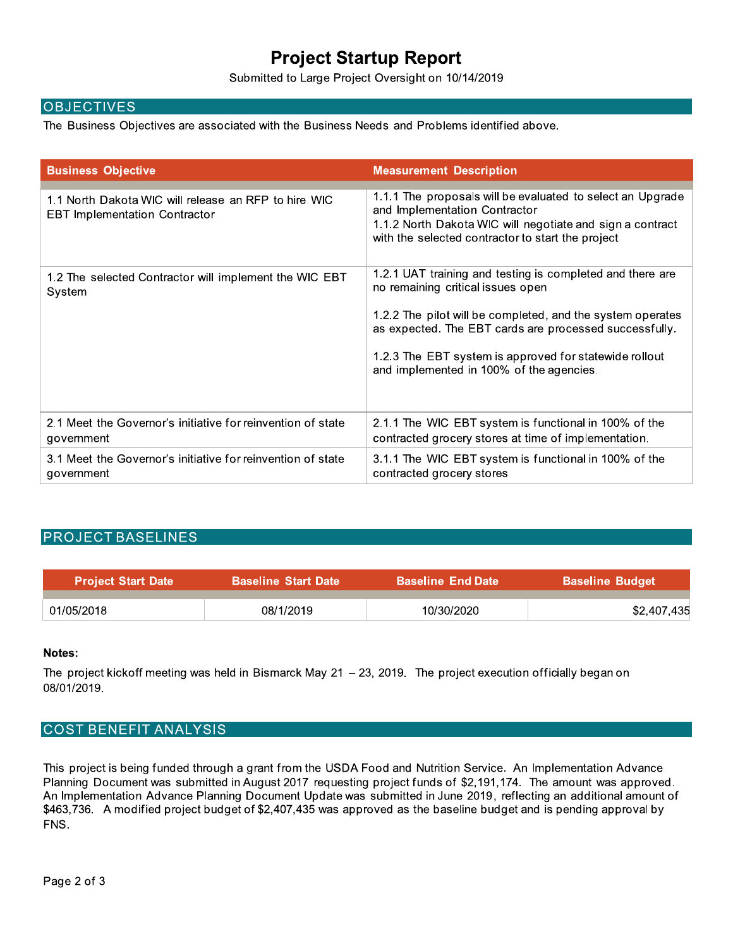## **Project Startup Report**

Submitted to Large Project Oversight on 10/14/2019

#### **OBJECTIVES**

The Business Objectives are associated with the Business Needs and Problems identified above.

| <b>Business Objective</b>                                                                    | <b>Measurement Description</b>                                                                                                                                                                                                                                                                                               |
|----------------------------------------------------------------------------------------------|------------------------------------------------------------------------------------------------------------------------------------------------------------------------------------------------------------------------------------------------------------------------------------------------------------------------------|
| 1.1 North Dakota WIC will release an RFP to hire WIC<br><b>EBT Implementation Contractor</b> | 1.1.1 The proposals will be evaluated to select an Upgrade<br>and Implementation Contractor<br>1.1.2 North Dakota WIC will negotiate and sign a contract<br>with the selected contractor to start the project                                                                                                                |
| 1.2 The selected Contractor will implement the WIC EBT<br>System                             | 1.2.1 UAT training and testing is completed and there are<br>no remaining critical issues open<br>1.2.2 The pilot will be completed, and the system operates<br>as expected. The EBT cards are processed successfully.<br>1.2.3 The EBT system is approved for statewide rollout<br>and implemented in 100% of the agencies. |
| 2.1 Meet the Governor's initiative for reinvention of state<br>government                    | 2.1.1 The WIC EBT system is functional in 100% of the<br>contracted grocery stores at time of implementation.                                                                                                                                                                                                                |
| 3.1 Meet the Governor's initiative for reinvention of state<br>government                    | 3.1.1 The WIC EBT system is functional in 100% of the<br>contracted grocery stores                                                                                                                                                                                                                                           |

#### **PROJECT BASELINES**

| <b>Project Start Date</b> | <b>Baseline Start Date</b> | <b>Baseline End Date</b> \ | <b>Baseline Budget</b> |
|---------------------------|----------------------------|----------------------------|------------------------|
|                           |                            |                            |                        |
| 01/05/2018                | 08/1/2019                  | 10/30/2020                 | \$2,407,435            |

#### Notes:

The project kickoff meeting was held in Bismarck May  $21 - 23$ , 2019. The project execution officially began on 08/01/2019.

#### **COST BENEFIT ANALYSIS**

This project is being funded through a grant from the USDA Food and Nutrition Service. An Implementation Advance Planning Document was submitted in August 2017 requesting project funds of \$2,191,174. The amount was approved. An Implementation Advance Planning Document Update was submitted in June 2019, reflecting an additional amount of \$463,736. A modified project budget of \$2,407,435 was approved as the baseline budget and is pending approval by FNS.